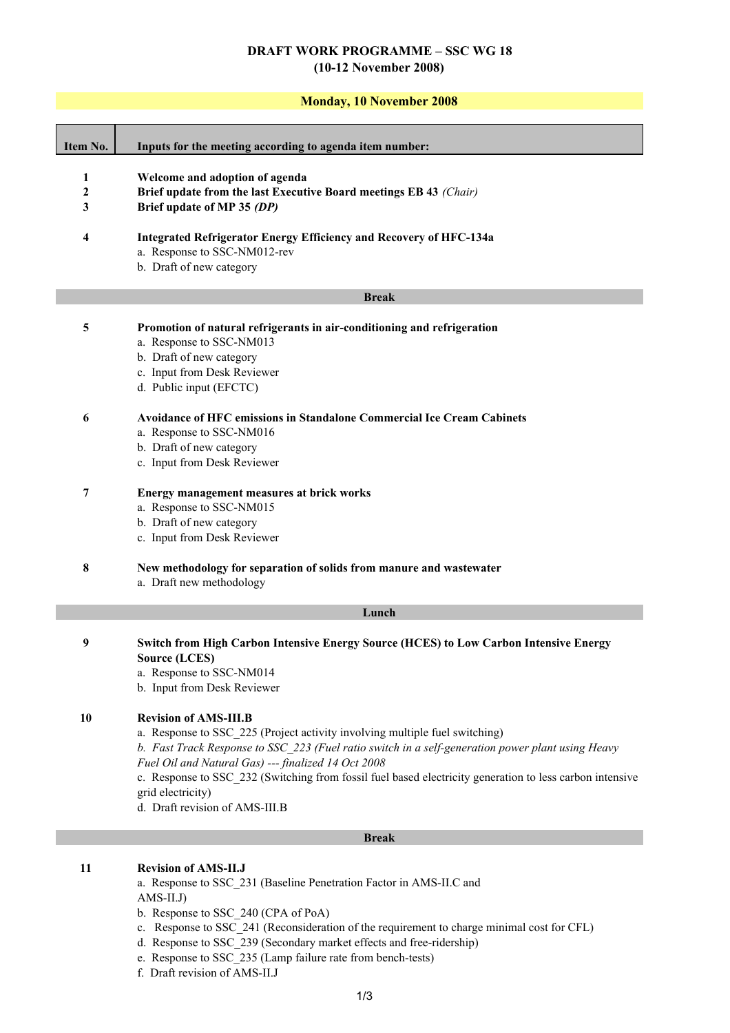# **DRAFT WORK PROGRAMME – SSC WG 18 (10-12 November 2008)**

## **Monday, 10 November 2008**

| Item No.                              | Inputs for the meeting according to agenda item number:                                                                                                                                                                                                                                                                                                                                                                                    |
|---------------------------------------|--------------------------------------------------------------------------------------------------------------------------------------------------------------------------------------------------------------------------------------------------------------------------------------------------------------------------------------------------------------------------------------------------------------------------------------------|
| $\mathbf{1}$<br>$\boldsymbol{2}$<br>3 | Welcome and adoption of agenda<br>Brief update from the last Executive Board meetings EB 43 (Chair)<br>Brief update of MP 35 (DP)                                                                                                                                                                                                                                                                                                          |
| 4                                     | <b>Integrated Refrigerator Energy Efficiency and Recovery of HFC-134a</b><br>a. Response to SSC-NM012-rev<br>b. Draft of new category                                                                                                                                                                                                                                                                                                      |
|                                       | <b>Break</b>                                                                                                                                                                                                                                                                                                                                                                                                                               |
| 5                                     | Promotion of natural refrigerants in air-conditioning and refrigeration<br>a. Response to SSC-NM013<br>b. Draft of new category<br>c. Input from Desk Reviewer<br>d. Public input (EFCTC)                                                                                                                                                                                                                                                  |
| 6                                     | <b>Avoidance of HFC emissions in Standalone Commercial Ice Cream Cabinets</b><br>a. Response to SSC-NM016<br>b. Draft of new category<br>c. Input from Desk Reviewer                                                                                                                                                                                                                                                                       |
| $\overline{7}$                        | <b>Energy management measures at brick works</b><br>a. Response to SSC-NM015<br>b. Draft of new category<br>c. Input from Desk Reviewer                                                                                                                                                                                                                                                                                                    |
| 8                                     | New methodology for separation of solids from manure and wastewater<br>a. Draft new methodology                                                                                                                                                                                                                                                                                                                                            |
|                                       | Lunch                                                                                                                                                                                                                                                                                                                                                                                                                                      |
| $\boldsymbol{9}$                      | <b>Switch from High Carbon Intensive Energy Source (HCES) to Low Carbon Intensive Energy</b><br><b>Source (LCES)</b><br>a. Response to SSC-NM014<br>b. Input from Desk Reviewer                                                                                                                                                                                                                                                            |
| 10                                    | <b>Revision of AMS-III.B</b><br>a. Response to SSC_225 (Project activity involving multiple fuel switching)<br>b. Fast Track Response to SSC 223 (Fuel ratio switch in a self-generation power plant using Heavy<br>Fuel Oil and Natural Gas) --- finalized 14 Oct 2008<br>c. Response to SSC_232 (Switching from fossil fuel based electricity generation to less carbon intensive<br>grid electricity)<br>d. Draft revision of AMS-III.B |
|                                       | <b>Break</b>                                                                                                                                                                                                                                                                                                                                                                                                                               |
| 11                                    | <b>Revision of AMS-II.J</b><br>a. Response to SSC_231 (Baseline Penetration Factor in AMS-II.C and<br>$AMS-II.J)$<br>b. Response to SSC 240 (CPA of PoA)<br>$D$ cononse to $SSC$ , 241 (Deconsideration of the requirement to charge minimal cost for CEI)                                                                                                                                                                                 |

- c. Response to SSC\_241 (Reconsideration of the requirement to charge minimal cost for CFL)
- d. Response to SSC\_239 (Secondary market effects and free-ridership)
- e. Response to SSC\_235 (Lamp failure rate from bench-tests)
- f. Draft revision of AMS-II.J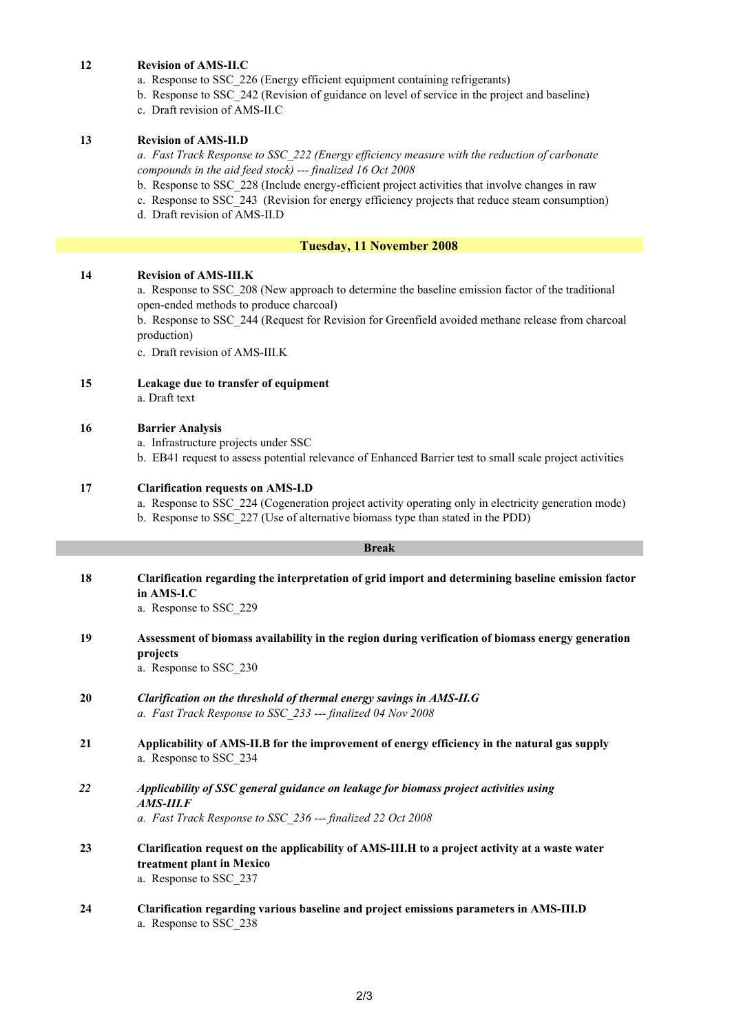## **12 Revision of AMS-II.C**

- a. Response to SSC\_226 (Energy efficient equipment containing refrigerants)
- b. Response to SSC\_242 (Revision of guidance on level of service in the project and baseline)
- c. Draft revision of AMS-II.C

## **13 Revision of AMS-II.D**

*a. Fast Track Response to SSC\_222 (Energy efficiency measure with the reduction of carbonate compounds in the aid feed stock) --- finalized 16 Oct 2008*

- b. Response to SSC\_228 (Include energy-efficient project activities that involve changes in raw
- c. Response to SSC\_243 (Revision for energy efficiency projects that reduce steam consumption)
- d. Draft revision of AMS-II.D

## **Tuesday, 11 November 2008**

## **14 Revision of AMS-III.K**

a. Response to SSC\_208 (New approach to determine the baseline emission factor of the traditional open-ended methods to produce charcoal)

b. Response to SSC\_244 (Request for Revision for Greenfield avoided methane release from charcoal production)

c. Draft revision of AMS-III.K

**15 Leakage due to transfer of equipment** a. Draft text

## **16 Barrier Analysis**

a. Infrastructure projects under SSC

b. EB41 request to assess potential relevance of Enhanced Barrier test to small scale project activities

#### **17 Clarification requests on AMS-I.D**

a. Response to SSC\_224 (Cogeneration project activity operating only in electricity generation mode)

b. Response to SSC\_227 (Use of alternative biomass type than stated in the PDD)

## **Break**

- **18 Clarification regarding the interpretation of grid import and determining baseline emission factor in AMS-I.C** a. Response to SSC\_229
- **19 Assessment of biomass availability in the region during verification of biomass energy generation projects**

a. Response to SSC\_230

- **20** *Clarification on the threshold of thermal energy savings in AMS-II.G a. Fast Track Response to SSC\_233 --- finalized 04 Nov 2008*
- **21 Applicability of AMS-II.B for the improvement of energy efficiency in the natural gas supply** a. Response to SSC\_234
- *22 Applicability of SSC general guidance on leakage for biomass project activities using AMS-III.F*

*a. Fast Track Response to SSC\_236 --- finalized 22 Oct 2008*

- **23 Clarification request on the applicability of AMS-III.H to a project activity at a waste water treatment plant in Mexico** a. Response to SSC\_237
- **24 Clarification regarding various baseline and project emissions parameters in AMS-III.D**  a. Response to SSC\_238